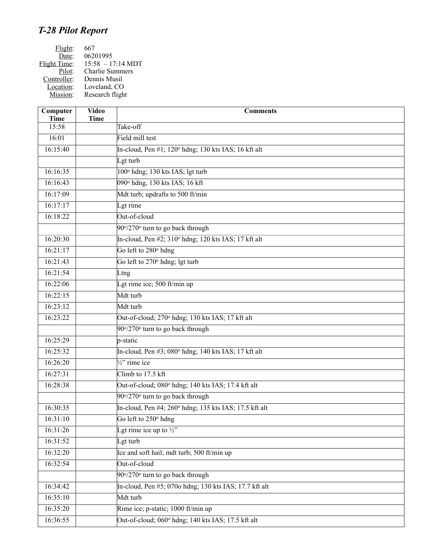## *T-28 Pilot Report*

| Flight:      | 667                         |
|--------------|-----------------------------|
| Date:        | 06201995                    |
| Flight Time: | $15:58 - 17:14 \text{ MDT}$ |
| Pilot:       | <b>Charlie Summers</b>      |
| Controller:  | Dennis Musil                |
| Location:    | Loveland, CO                |
| Mission:     | Research flight             |
|              |                             |

| Computer<br><b>Time</b> | <b>Video</b><br><b>Time</b> | <b>Comments</b>                                                       |
|-------------------------|-----------------------------|-----------------------------------------------------------------------|
| 15:58                   |                             | Take-off                                                              |
| 16:01                   |                             | Field mill test                                                       |
| 16:15:40                |                             | In-cloud, Pen $\#1$ ; 120 $\textdegree$ hdng; 130 kts IAS; 16 kft alt |
|                         |                             | Lgt turb                                                              |
| 16:16:35                |                             | 100° hdng; 130 kts IAS; lgt turb                                      |
| 16:16:43                |                             | 090° hdng, 130 kts IAS; 16 kft                                        |
| 16:17:09                |                             | Mdt turb; updrafts to 500 ft/min                                      |
| 16:17:17                |                             | Lgt rime                                                              |
| 16:18:22                |                             | Out-of-cloud                                                          |
|                         |                             | 90°/270° turn to go back through                                      |
| 16:20:30                |                             | In-cloud, Pen #2; 310° hdng; 120 kts IAS; 17 kft alt                  |
| 16:21:17                |                             | Go left to 280 <sup>°</sup> hdng                                      |
| 16:21:43                |                             | Go left to 270° hdng; lgt turb                                        |
| 16:21:54                |                             | Ltng                                                                  |
| 16:22:06                |                             | Lgt rime ice; 500 ft/min up                                           |
| 16:22:15                |                             | Mdt turb                                                              |
| 16:23:12                |                             | Mdt turb                                                              |
| 16:23:22                |                             | Out-of-cloud; 270° hdng; 130 kts IAS; 17 kft alt                      |
|                         |                             | 90°/270° turn to go back through                                      |
| 16:25:29                |                             | p-static                                                              |
| 16:25:32                |                             | In-cloud, Pen #3; 080° hdng; 140 kts IAS; 17 kft alt                  |
| 16:26:20                |                             | $\sqrt{\frac{1}{2}}$ rime ice                                         |
| 16:27:31                |                             | Climb to 17.5 kft                                                     |
| 16:28:38                |                             | Out-of-cloud; 080° hdng; 140 kts IAS; 17.4 kft alt                    |
|                         |                             | 90°/270° turn to go back through                                      |
| 16:30:35                |                             | In-cloud, Pen #4; 260° hdng; 135 kts IAS; 17.5 kft alt                |
| 16:31:10                |                             | Go left to 250° hdng                                                  |
| 16:31:26                |                             | Lgt rime ice up to $\frac{1}{2}$                                      |
| 16:31:52                |                             | Lgt turb                                                              |
| 16:32:20                |                             | Ice and soft hail; mdt turb; 500 ft/min up                            |
| 16:32:54                |                             | Out-of-cloud                                                          |
|                         |                             | 90°/270° turn to go back through                                      |
| 16:34:42                |                             | In-cloud, Pen #5; 070o hdng; 130 kts IAS; 17.7 kft alt                |
| 16:35:10                |                             | Mdt turb                                                              |
| 16:35:20                |                             | Rime ice; p-static; 1000 ft/min up                                    |
| 16:36:55                |                             | Out-of-cloud; 060° hdng; 140 kts IAS; 17.5 kft alt                    |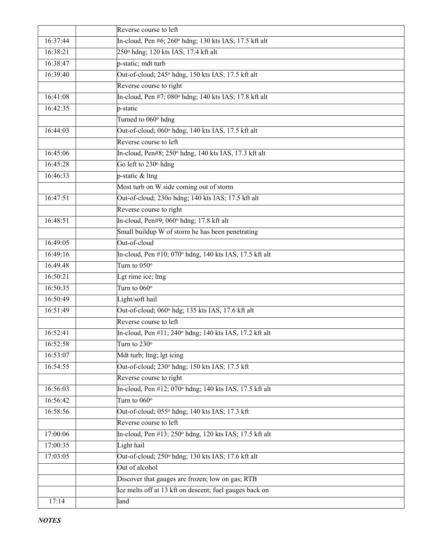|          | Reverse course to left                                               |
|----------|----------------------------------------------------------------------|
| 16:37:44 | In-cloud, Pen #6; 260° hdng; 130 kts IAS; 17.5 kft alt               |
| 16:38:21 | 250° hdng; 120 kts IAS; 17.4 kft alt                                 |
| 16:38:47 | p-static; mdt turb                                                   |
| 16:39:40 | Out-of-cloud; 245° hdng, 150 kts IAS; 17.5 kft alt                   |
|          | Reverse course to right                                              |
| 16:41:08 | In-cloud, Pen #7; 080° hdng; 140 kts IAS; 17.8 kft alt               |
| 16:42:35 | p-static                                                             |
|          | Turned to 060° hdng                                                  |
| 16:44:03 | Out-of-cloud; 060° hdng; 140 kts IAS, 17.5 kft alt                   |
|          | Reverse course to left                                               |
| 16:45:06 | In-cloud, Pen#8; 250° hdng, 140 kts IAS, 17.3 kft alt                |
| 16:45:28 | Go left to 230° hdng                                                 |
| 16:46:33 | p-static & ltng                                                      |
|          | Most turb on W side coming out of storm                              |
| 16:47:51 | Out-of-cloud; 230o hdng; 140 kts IAS; 17.5 kft alt                   |
|          | Reverse course to right                                              |
| 16:48:51 | In-cloud, Pen#9; 060° hdng; 17.8 kft alt                             |
|          | Small buildup W of storm he has been penetrating                     |
| 16:49:05 | Out-of-cloud                                                         |
| 16:49:16 | In-cloud, Pen #10; 070° hdng, 140 kts IAS, 17.5 kft alt              |
| 16.49.48 | Turn to $050^\circ$                                                  |
| 16:50:21 | Lgt rime ice; ltng                                                   |
| 16:50:35 | Turn to $060^\circ$                                                  |
| 16:50:49 | Light/soft hail                                                      |
| 16:51:49 | Out-of-cloud; 060° hdg; 135 kts IAS, 17.6 kft alt                    |
|          | Reverse course to left                                               |
| 16:52:41 | In-cloud, Pen #11; 240° hdng; 140 kts IAS, 17.2 kft alt              |
| 16:52:58 | Turn to $230^\circ$                                                  |
| 16:53:07 | Mdt turb; ltng; lgt icing                                            |
| 16:54:55 | Out-of-cloud; 230° hdng; 150 kts IAS; 17.5 kft                       |
|          | Reverse course to right                                              |
| 16:56:03 | In-cloud, Pen $#12$ ; 070 $^{\circ}$ hdng; 140 kts IAS, 17.5 kft alt |
| 16:56:42 | Turn to $060^\circ$                                                  |
| 16:58:56 | Out-of-cloud; 055° hdng; 140 kts IAS; 17.3 kft                       |
|          | Reverse course to left                                               |
| 17:00:06 | In-cloud, Pen #13; 250° hdng, 120 kts IAS; 17.5 kft alt              |
| 17:00:35 | Light hail                                                           |
| 17:03:05 | Out-of-cloud; 250° hdng; 130 kts IAS; 17.6 kft alt                   |
|          | Out of alcohol                                                       |
|          | Discover that gauges are frozen; low on gas; RTB                     |
|          | Ice melts off at 13 kft on descent; fuel gauges back on              |
| 17:14    | land                                                                 |